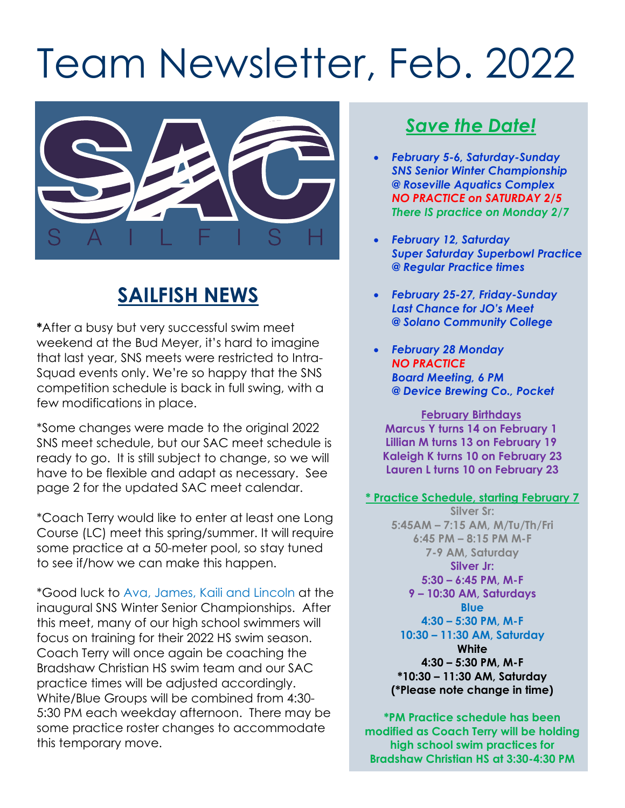# Team Newsletter, Feb. 2022



## **SAILFISH NEWS**

**\***After a busy but very successful swim meet weekend at the Bud Meyer, it's hard to imagine that last year, SNS meets were restricted to Intra-Squad events only. We're so happy that the SNS competition schedule is back in full swing, with a few modifications in place.

\*Some changes were made to the original 2022 SNS meet schedule, but our SAC meet schedule is ready to go. It is still subject to change, so we will have to be flexible and adapt as necessary. See page 2 for the updated SAC meet calendar.

\*Coach Terry would like to enter at least one Long Course (LC) meet this spring/summer. It will require some practice at a 50-meter pool, so stay tuned to see if/how we can make this happen.

\*Good luck to Ava, James, Kaili and Lincoln at the inaugural SNS Winter Senior Championships. After this meet, many of our high school swimmers will focus on training for their 2022 HS swim season. Coach Terry will once again be coaching the Bradshaw Christian HS swim team and our SAC practice times will be adjusted accordingly. White/Blue Groups will be combined from 4:30- 5:30 PM each weekday afternoon. There may be some practice roster changes to accommodate this temporary move.

## *Save the Date!*

- *February 5-6, Saturday-Sunday SNS Senior Winter Championship @ Roseville Aquatics Complex NO PRACTICE on SATURDAY 2/5 There IS practice on Monday 2/7*
- *February 12, Saturday Super Saturday Superbowl Practice @ Regular Practice times*
- *February 25-27, Friday-Sunday Last Chance for JO's Meet @ Solano Community College*
- *February 28 Monday NO PRACTICE Board Meeting, 6 PM @ Device Brewing Co., Pocket*

**February Birthdays Marcus Y turns 14 on February 1 Lillian M turns 13 on February 19 Kaleigh K turns 10 on February 23 Lauren L turns 10 on February 23**

#### **\* Practice Schedule, starting February 7**

**Silver Sr: 5:45AM – 7:15 AM, M/Tu/Th/Fri 6:45 PM – 8:15 PM M-F 7-9 AM, Saturday Silver Jr: 5:30 – 6:45 PM, M-F 9 – 10:30 AM, Saturdays Blue 4:30 – 5:30 PM, M-F 10:30 – 11:30 AM, Saturday White 4:30 – 5:30 PM, M-F \*10:30 – 11:30 AM, Saturday (\*Please note change in time)**

**\*PM Practice schedule has been modified as Coach Terry will be holding high school swim practices for Bradshaw Christian HS at 3:30-4:30 PM**